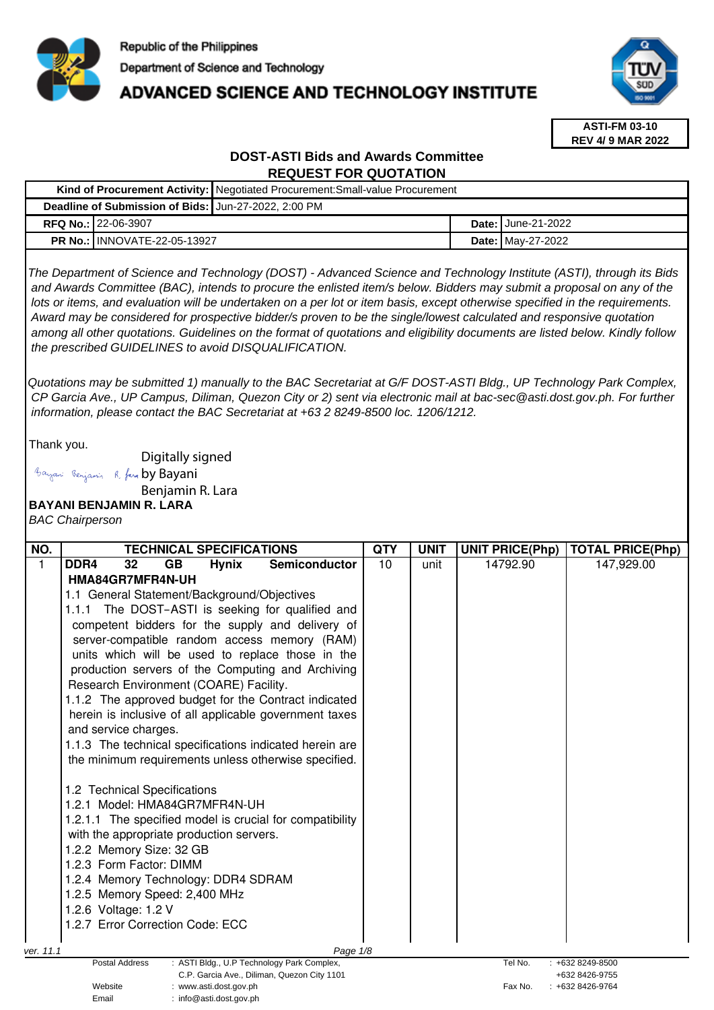

Email : info@asti.dost.gov.ph

# ADVANCED SCIENCE AND TECHNOLOGY INSTITUTE



**ASTI-FM 03-10 REV 4/ 9 MAR 2022**

# **DOST-ASTI Bids and Awards Committee REQUEST FOR QUOTATION**

|                                                                                                                                                                                                                                                                                                                                                                                                                                                                                                                                                                                                                                                                                              |                                                                                                                                                                                                                                                                                                                                                                                                                                                                                                                                                                  | Kind of Procurement Activity: Negotiated Procurement: Small-value Procurement                                                                                                                                                                                                                                                                                                                                                           |            |                   |  |                        |                                     |
|----------------------------------------------------------------------------------------------------------------------------------------------------------------------------------------------------------------------------------------------------------------------------------------------------------------------------------------------------------------------------------------------------------------------------------------------------------------------------------------------------------------------------------------------------------------------------------------------------------------------------------------------------------------------------------------------|------------------------------------------------------------------------------------------------------------------------------------------------------------------------------------------------------------------------------------------------------------------------------------------------------------------------------------------------------------------------------------------------------------------------------------------------------------------------------------------------------------------------------------------------------------------|-----------------------------------------------------------------------------------------------------------------------------------------------------------------------------------------------------------------------------------------------------------------------------------------------------------------------------------------------------------------------------------------------------------------------------------------|------------|-------------------|--|------------------------|-------------------------------------|
|                                                                                                                                                                                                                                                                                                                                                                                                                                                                                                                                                                                                                                                                                              |                                                                                                                                                                                                                                                                                                                                                                                                                                                                                                                                                                  | Deadline of Submission of Bids: Jun-27-2022, 2:00 PM                                                                                                                                                                                                                                                                                                                                                                                    |            |                   |  |                        |                                     |
|                                                                                                                                                                                                                                                                                                                                                                                                                                                                                                                                                                                                                                                                                              | RFQ No.: 22-06-3907                                                                                                                                                                                                                                                                                                                                                                                                                                                                                                                                              |                                                                                                                                                                                                                                                                                                                                                                                                                                         |            |                   |  | Date: June-21-2022     |                                     |
| <b>PR No.: INNOVATE-22-05-13927</b>                                                                                                                                                                                                                                                                                                                                                                                                                                                                                                                                                                                                                                                          |                                                                                                                                                                                                                                                                                                                                                                                                                                                                                                                                                                  |                                                                                                                                                                                                                                                                                                                                                                                                                                         |            | Date: May-27-2022 |  |                        |                                     |
| The Department of Science and Technology (DOST) - Advanced Science and Technology Institute (ASTI), through its Bids<br>and Awards Committee (BAC), intends to procure the enlisted item/s below. Bidders may submit a proposal on any of the<br>lots or items, and evaluation will be undertaken on a per lot or item basis, except otherwise specified in the requirements.<br>Award may be considered for prospective bidder/s proven to be the single/lowest calculated and responsive quotation<br>among all other quotations. Guidelines on the format of quotations and eligibility documents are listed below. Kindly follow<br>the prescribed GUIDELINES to avoid DISQUALIFICATION. |                                                                                                                                                                                                                                                                                                                                                                                                                                                                                                                                                                  |                                                                                                                                                                                                                                                                                                                                                                                                                                         |            |                   |  |                        |                                     |
|                                                                                                                                                                                                                                                                                                                                                                                                                                                                                                                                                                                                                                                                                              |                                                                                                                                                                                                                                                                                                                                                                                                                                                                                                                                                                  | Quotations may be submitted 1) manually to the BAC Secretariat at G/F DOST-ASTI Bldg., UP Technology Park Complex,<br>CP Garcia Ave., UP Campus, Diliman, Quezon City or 2) sent via electronic mail at bac-sec@asti.dost.gov.ph. For further<br>information, please contact the BAC Secretariat at +63 2 8249-8500 loc. 1206/1212.                                                                                                     |            |                   |  |                        |                                     |
| Thank you.                                                                                                                                                                                                                                                                                                                                                                                                                                                                                                                                                                                                                                                                                   |                                                                                                                                                                                                                                                                                                                                                                                                                                                                                                                                                                  |                                                                                                                                                                                                                                                                                                                                                                                                                                         |            |                   |  |                        |                                     |
|                                                                                                                                                                                                                                                                                                                                                                                                                                                                                                                                                                                                                                                                                              | Digitally signed                                                                                                                                                                                                                                                                                                                                                                                                                                                                                                                                                 |                                                                                                                                                                                                                                                                                                                                                                                                                                         |            |                   |  |                        |                                     |
|                                                                                                                                                                                                                                                                                                                                                                                                                                                                                                                                                                                                                                                                                              | Bayani Benjamin R. fara by Bayani                                                                                                                                                                                                                                                                                                                                                                                                                                                                                                                                |                                                                                                                                                                                                                                                                                                                                                                                                                                         |            |                   |  |                        |                                     |
|                                                                                                                                                                                                                                                                                                                                                                                                                                                                                                                                                                                                                                                                                              | Benjamin R. Lara<br><b>BAYANI BENJAMIN R. LARA</b>                                                                                                                                                                                                                                                                                                                                                                                                                                                                                                               |                                                                                                                                                                                                                                                                                                                                                                                                                                         |            |                   |  |                        |                                     |
|                                                                                                                                                                                                                                                                                                                                                                                                                                                                                                                                                                                                                                                                                              | <b>BAC Chairperson</b>                                                                                                                                                                                                                                                                                                                                                                                                                                                                                                                                           |                                                                                                                                                                                                                                                                                                                                                                                                                                         |            |                   |  |                        |                                     |
|                                                                                                                                                                                                                                                                                                                                                                                                                                                                                                                                                                                                                                                                                              |                                                                                                                                                                                                                                                                                                                                                                                                                                                                                                                                                                  |                                                                                                                                                                                                                                                                                                                                                                                                                                         |            |                   |  |                        |                                     |
| NO.                                                                                                                                                                                                                                                                                                                                                                                                                                                                                                                                                                                                                                                                                          | <b>TECHNICAL SPECIFICATIONS</b>                                                                                                                                                                                                                                                                                                                                                                                                                                                                                                                                  |                                                                                                                                                                                                                                                                                                                                                                                                                                         | <b>QTY</b> | <b>UNIT</b>       |  | <b>UNIT PRICE(Php)</b> | <b>TOTAL PRICE(Php)</b>             |
|                                                                                                                                                                                                                                                                                                                                                                                                                                                                                                                                                                                                                                                                                              | HMA84GR7MFR4N-UH<br>1.1 General Statement/Background/Objectives<br>Research Environment (COARE) Facility.<br>and service charges.<br>1.1.3 The technical specifications indicated herein are<br>1.2 Technical Specifications<br>1.2.1 Model: HMA84GR7MFR4N-UH<br>1.2.1.1 The specified model is crucial for compatibility<br>with the appropriate production servers.<br>1.2.2 Memory Size: 32 GB<br>1.2.3 Form Factor: DIMM<br>1.2.4 Memory Technology: DDR4 SDRAM<br>1.2.5 Memory Speed: 2,400 MHz<br>1.2.6 Voltage: 1.2 V<br>1.2.7 Error Correction Code: ECC | 1.1.1 The DOST-ASTI is seeking for qualified and<br>competent bidders for the supply and delivery of<br>server-compatible random access memory (RAM)<br>units which will be used to replace those in the<br>production servers of the Computing and Archiving<br>1.1.2 The approved budget for the Contract indicated<br>herein is inclusive of all applicable government taxes<br>the minimum requirements unless otherwise specified. |            |                   |  |                        |                                     |
| ver. 11.1                                                                                                                                                                                                                                                                                                                                                                                                                                                                                                                                                                                                                                                                                    | Postal Address                                                                                                                                                                                                                                                                                                                                                                                                                                                                                                                                                   | Page 1/8<br>: ASTI Bldg., U.P Technology Park Complex,                                                                                                                                                                                                                                                                                                                                                                                  |            |                   |  | Tel No.                | +632 8249-8500                      |
|                                                                                                                                                                                                                                                                                                                                                                                                                                                                                                                                                                                                                                                                                              | Website                                                                                                                                                                                                                                                                                                                                                                                                                                                                                                                                                          | C.P. Garcia Ave., Diliman, Quezon City 1101<br>: www.asti.dost.gov.ph                                                                                                                                                                                                                                                                                                                                                                   |            |                   |  | Fax No.                | +632 8426-9755<br>$: +6328426-9764$ |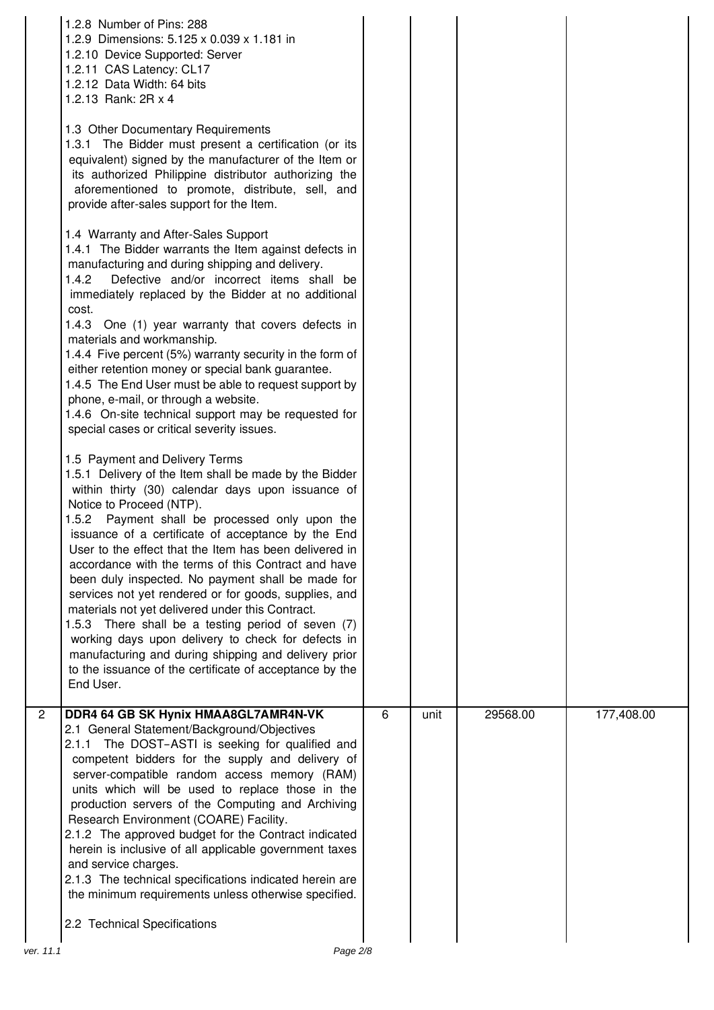|                | 1.2.8 Number of Pins: 288<br>1.2.9 Dimensions: 5.125 x 0.039 x 1.181 in<br>1.2.10 Device Supported: Server<br>1.2.11 CAS Latency: CL17<br>1.2.12 Data Width: 64 bits<br>1.2.13 Rank: 2R x 4<br>1.3 Other Documentary Requirements<br>1.3.1 The Bidder must present a certification (or its<br>equivalent) signed by the manufacturer of the Item or<br>its authorized Philippine distributor authorizing the<br>aforementioned to promote, distribute, sell, and<br>provide after-sales support for the Item.<br>1.4 Warranty and After-Sales Support<br>1.4.1 The Bidder warrants the Item against defects in<br>manufacturing and during shipping and delivery.<br>1.4.2<br>Defective and/or incorrect items shall be<br>immediately replaced by the Bidder at no additional<br>cost.<br>1.4.3 One (1) year warranty that covers defects in<br>materials and workmanship.<br>1.4.4 Five percent (5%) warranty security in the form of<br>either retention money or special bank guarantee.<br>1.4.5 The End User must be able to request support by<br>phone, e-mail, or through a website.<br>1.4.6 On-site technical support may be requested for<br>special cases or critical severity issues.<br>1.5 Payment and Delivery Terms<br>1.5.1 Delivery of the Item shall be made by the Bidder<br>within thirty (30) calendar days upon issuance of<br>Notice to Proceed (NTP).<br>1.5.2 Payment shall be processed only upon the<br>issuance of a certificate of acceptance by the End<br>User to the effect that the Item has been delivered in<br>accordance with the terms of this Contract and have<br>been duly inspected. No payment shall be made for<br>services not yet rendered or for goods, supplies, and<br>materials not yet delivered under this Contract.<br>1.5.3 There shall be a testing period of seven (7)<br>working days upon delivery to check for defects in<br>manufacturing and during shipping and delivery prior<br>to the issuance of the certificate of acceptance by the<br>End User. |   |      |          |            |
|----------------|-------------------------------------------------------------------------------------------------------------------------------------------------------------------------------------------------------------------------------------------------------------------------------------------------------------------------------------------------------------------------------------------------------------------------------------------------------------------------------------------------------------------------------------------------------------------------------------------------------------------------------------------------------------------------------------------------------------------------------------------------------------------------------------------------------------------------------------------------------------------------------------------------------------------------------------------------------------------------------------------------------------------------------------------------------------------------------------------------------------------------------------------------------------------------------------------------------------------------------------------------------------------------------------------------------------------------------------------------------------------------------------------------------------------------------------------------------------------------------------------------------------------------------------------------------------------------------------------------------------------------------------------------------------------------------------------------------------------------------------------------------------------------------------------------------------------------------------------------------------------------------------------------------------------------------------------------------------------------------------------------------------------------|---|------|----------|------------|
| $\overline{2}$ | DDR4 64 GB SK Hynix HMAA8GL7AMR4N-VK<br>2.1 General Statement/Background/Objectives<br>2.1.1 The DOST-ASTI is seeking for qualified and<br>competent bidders for the supply and delivery of<br>server-compatible random access memory (RAM)<br>units which will be used to replace those in the<br>production servers of the Computing and Archiving<br>Research Environment (COARE) Facility.<br>2.1.2 The approved budget for the Contract indicated<br>herein is inclusive of all applicable government taxes<br>and service charges.<br>2.1.3 The technical specifications indicated herein are<br>the minimum requirements unless otherwise specified.<br>2.2 Technical Specifications                                                                                                                                                                                                                                                                                                                                                                                                                                                                                                                                                                                                                                                                                                                                                                                                                                                                                                                                                                                                                                                                                                                                                                                                                                                                                                                             | 6 | unit | 29568.00 | 177,408.00 |
| ver. 11.1      | Page 2/8                                                                                                                                                                                                                                                                                                                                                                                                                                                                                                                                                                                                                                                                                                                                                                                                                                                                                                                                                                                                                                                                                                                                                                                                                                                                                                                                                                                                                                                                                                                                                                                                                                                                                                                                                                                                                                                                                                                                                                                                                |   |      |          |            |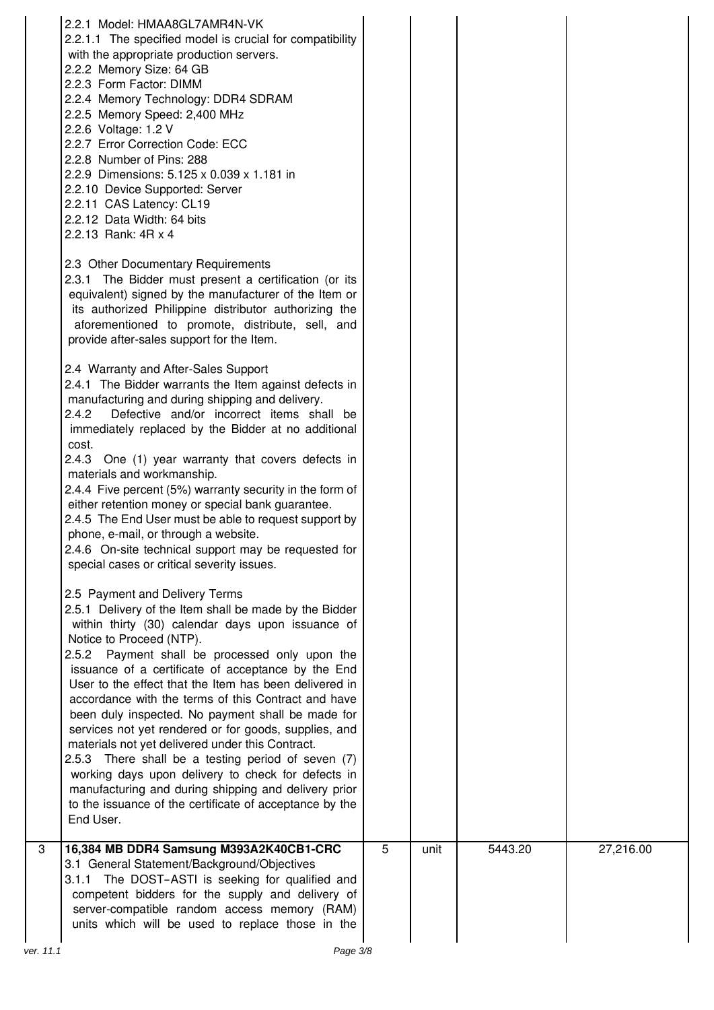|           | 2.2.1 Model: HMAA8GL7AMR4N-VK<br>2.2.1.1 The specified model is crucial for compatibility<br>with the appropriate production servers.<br>2.2.2 Memory Size: 64 GB<br>2.2.3 Form Factor: DIMM<br>2.2.4 Memory Technology: DDR4 SDRAM<br>2.2.5 Memory Speed: 2,400 MHz<br>2.2.6 Voltage: 1.2 V<br>2.2.7 Error Correction Code: ECC<br>2.2.8 Number of Pins: 288<br>2.2.9 Dimensions: 5.125 x 0.039 x 1.181 in<br>2.2.10 Device Supported: Server<br>2.2.11 CAS Latency: CL19<br>2.2.12 Data Width: 64 bits<br>2.2.13 Rank: 4R x 4<br>2.3 Other Documentary Requirements<br>2.3.1 The Bidder must present a certification (or its<br>equivalent) signed by the manufacturer of the Item or<br>its authorized Philippine distributor authorizing the<br>aforementioned to promote, distribute, sell, and<br>provide after-sales support for the Item.<br>2.4 Warranty and After-Sales Support<br>2.4.1 The Bidder warrants the Item against defects in<br>manufacturing and during shipping and delivery.<br>2.4.2<br>Defective and/or incorrect items shall be<br>immediately replaced by the Bidder at no additional<br>cost.<br>2.4.3 One (1) year warranty that covers defects in<br>materials and workmanship.<br>2.4.4 Five percent (5%) warranty security in the form of<br>either retention money or special bank guarantee.<br>2.4.5 The End User must be able to request support by<br>phone, e-mail, or through a website.<br>2.4.6 On-site technical support may be requested for<br>special cases or critical severity issues.<br>2.5 Payment and Delivery Terms<br>2.5.1 Delivery of the Item shall be made by the Bidder<br>within thirty (30) calendar days upon issuance of<br>Notice to Proceed (NTP).<br>2.5.2 Payment shall be processed only upon the<br>issuance of a certificate of acceptance by the End<br>User to the effect that the Item has been delivered in<br>accordance with the terms of this Contract and have<br>been duly inspected. No payment shall be made for<br>services not yet rendered or for goods, supplies, and<br>materials not yet delivered under this Contract.<br>2.5.3 There shall be a testing period of seven (7)<br>working days upon delivery to check for defects in<br>manufacturing and during shipping and delivery prior<br>to the issuance of the certificate of acceptance by the<br>End User. |   |      |         |           |
|-----------|-------------------------------------------------------------------------------------------------------------------------------------------------------------------------------------------------------------------------------------------------------------------------------------------------------------------------------------------------------------------------------------------------------------------------------------------------------------------------------------------------------------------------------------------------------------------------------------------------------------------------------------------------------------------------------------------------------------------------------------------------------------------------------------------------------------------------------------------------------------------------------------------------------------------------------------------------------------------------------------------------------------------------------------------------------------------------------------------------------------------------------------------------------------------------------------------------------------------------------------------------------------------------------------------------------------------------------------------------------------------------------------------------------------------------------------------------------------------------------------------------------------------------------------------------------------------------------------------------------------------------------------------------------------------------------------------------------------------------------------------------------------------------------------------------------------------------------------------------------------------------------------------------------------------------------------------------------------------------------------------------------------------------------------------------------------------------------------------------------------------------------------------------------------------------------------------------------------------------------------------------------------------------------------------------------------------------------------------------------------|---|------|---------|-----------|
| 3         | 16,384 MB DDR4 Samsung M393A2K40CB1-CRC<br>3.1 General Statement/Background/Objectives<br>3.1.1 The DOST-ASTI is seeking for qualified and<br>competent bidders for the supply and delivery of<br>server-compatible random access memory (RAM)<br>units which will be used to replace those in the                                                                                                                                                                                                                                                                                                                                                                                                                                                                                                                                                                                                                                                                                                                                                                                                                                                                                                                                                                                                                                                                                                                                                                                                                                                                                                                                                                                                                                                                                                                                                                                                                                                                                                                                                                                                                                                                                                                                                                                                                                                          | 5 | unit | 5443.20 | 27,216.00 |
| ver. 11.1 | Page 3/8                                                                                                                                                                                                                                                                                                                                                                                                                                                                                                                                                                                                                                                                                                                                                                                                                                                                                                                                                                                                                                                                                                                                                                                                                                                                                                                                                                                                                                                                                                                                                                                                                                                                                                                                                                                                                                                                                                                                                                                                                                                                                                                                                                                                                                                                                                                                                    |   |      |         |           |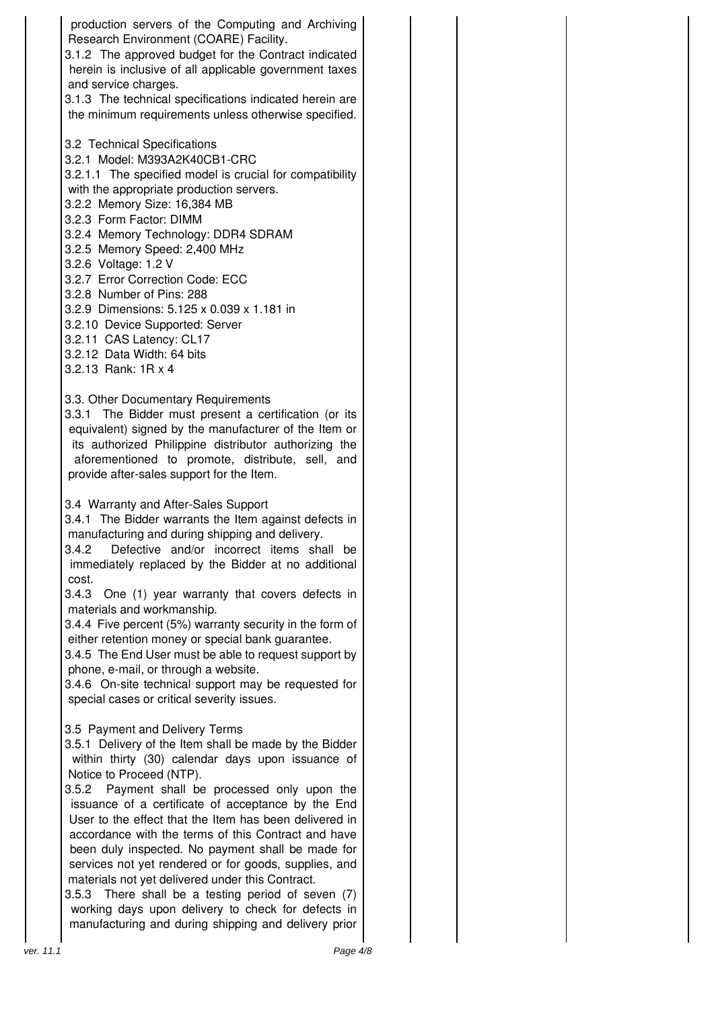production servers of the Computing and Archiving Research Environment (COARE) Facility. 3.1.2 The approved budget for the Contract indicated herein is inclusive of all applicable government taxes and service charges. 3.1.3 The technical specifications indicated herein are the minimum requirements unless otherwise specified. 3.2 Technical Specifications 3.2.1 Model: M393A2K40CB1-CRC 3.2.1.1 The specified model is crucial for compatibility with the appropriate production servers. 3.2.2 Memory Size: 16,384 MB 3.2.3 Form Factor: DIMM 3.2.4 Memory Technology: DDR4 SDRAM 3.2.5 Memory Speed: 2,400 MHz 3.2.6 Voltage: 1.2 V 3.2.7 Error Correction Code: ECC 3.2.8 Number of Pins: 288 3.2.9 Dimensions: 5.125 x 0.039 x 1.181 in 3.2.10 Device Supported: Server 3.2.11 CAS Latency: CL17 3.2.12 Data Width: 64 bits 3.2.13 Rank: 1R x 4 3.3. Other Documentary Requirements 3.3.1 The Bidder must present a certification (or its equivalent) signed by the manufacturer of the Item or its authorized Philippine distributor authorizing the aforementioned to promote, distribute, sell, and provide after-sales support for the Item. 3.4 Warranty and After-Sales Support 3.4.1 The Bidder warrants the Item against defects in manufacturing and during shipping and delivery. 3.4.2 Defective and/or incorrect items shall be immediately replaced by the Bidder at no additional cost. 3.4.3 One (1) year warranty that covers defects in materials and workmanship. 3.4.4 Five percent (5%) warranty security in the form of either retention money or special bank guarantee. 3.4.5 The End User must be able to request support by phone, e-mail, or through a website. 3.4.6 On-site technical support may be requested for special cases or critical severity issues. 3.5 Payment and Delivery Terms 3.5.1 Delivery of the Item shall be made by the Bidder within thirty (30) calendar days upon issuance of Notice to Proceed (NTP). 3.5.2 Payment shall be processed only upon the issuance of a certificate of acceptance by the End User to the effect that the Item has been delivered in accordance with the terms of this Contract and have been duly inspected. No payment shall be made for services not yet rendered or for goods, supplies, and materials not yet delivered under this Contract. 3.5.3 There shall be a testing period of seven (7) working days upon delivery to check for defects in manufacturing and during shipping and delivery prior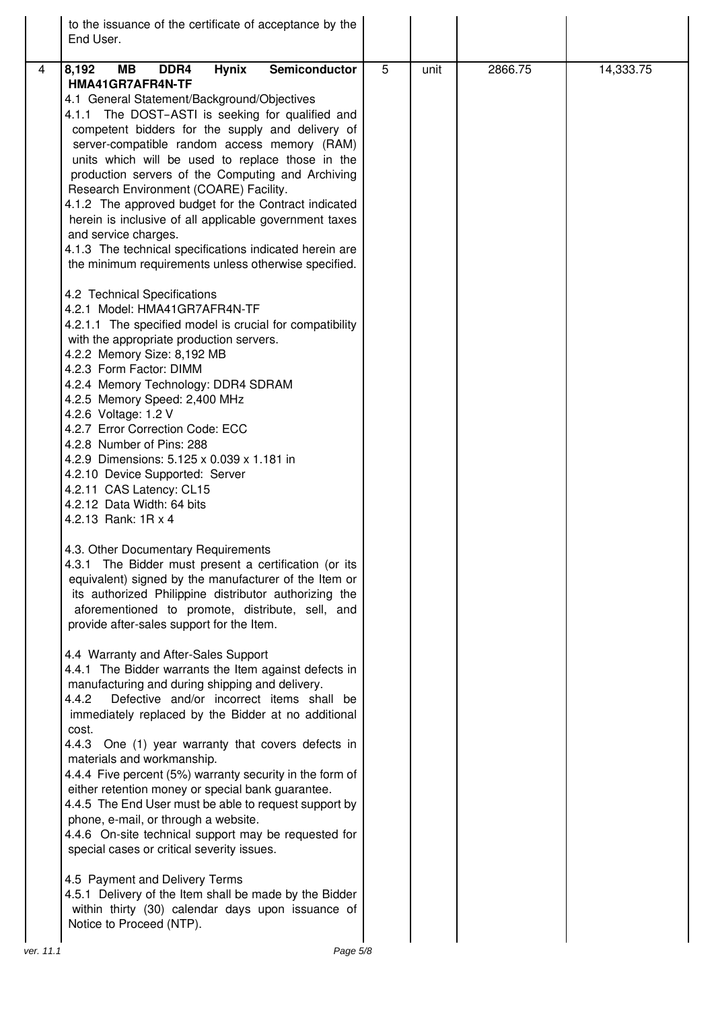| to the issuance of the certificate of acceptance by the<br>End User.                                                                                                                                                                                                                                                                                                                                                                                                                                                                                                                                                                                                                                                                                                                                                                                                                  |                |      |         |           |
|---------------------------------------------------------------------------------------------------------------------------------------------------------------------------------------------------------------------------------------------------------------------------------------------------------------------------------------------------------------------------------------------------------------------------------------------------------------------------------------------------------------------------------------------------------------------------------------------------------------------------------------------------------------------------------------------------------------------------------------------------------------------------------------------------------------------------------------------------------------------------------------|----------------|------|---------|-----------|
| <b>MB</b><br>Semiconductor<br>$\overline{4}$<br>8,192<br>DDR4<br><b>Hynix</b><br>HMA41GR7AFR4N-TF<br>4.1 General Statement/Background/Objectives<br>4.1.1 The DOST-ASTI is seeking for qualified and<br>competent bidders for the supply and delivery of<br>server-compatible random access memory (RAM)<br>units which will be used to replace those in the<br>production servers of the Computing and Archiving<br>Research Environment (COARE) Facility.<br>4.1.2 The approved budget for the Contract indicated<br>herein is inclusive of all applicable government taxes<br>and service charges.<br>4.1.3 The technical specifications indicated herein are<br>the minimum requirements unless otherwise specified.                                                                                                                                                              | $\overline{5}$ | unit | 2866.75 | 14,333.75 |
| 4.2 Technical Specifications<br>4.2.1 Model: HMA41GR7AFR4N-TF<br>4.2.1.1 The specified model is crucial for compatibility<br>with the appropriate production servers.<br>4.2.2 Memory Size: 8,192 MB<br>4.2.3 Form Factor: DIMM<br>4.2.4 Memory Technology: DDR4 SDRAM<br>4.2.5 Memory Speed: 2,400 MHz<br>4.2.6 Voltage: 1.2 V<br>4.2.7 Error Correction Code: ECC<br>4.2.8 Number of Pins: 288<br>4.2.9 Dimensions: 5.125 x 0.039 x 1.181 in<br>4.2.10 Device Supported: Server<br>4.2.11 CAS Latency: CL15<br>4.2.12 Data Width: 64 bits<br>4.2.13 Rank: 1R x 4<br>4.3. Other Documentary Requirements<br>4.3.1 The Bidder must present a certification (or its<br>equivalent) signed by the manufacturer of the Item or<br>its authorized Philippine distributor authorizing the<br>aforementioned to promote, distribute, sell, and<br>provide after-sales support for the Item. |                |      |         |           |
| 4.4 Warranty and After-Sales Support<br>4.4.1 The Bidder warrants the Item against defects in<br>manufacturing and during shipping and delivery.<br>4.4.2<br>Defective and/or incorrect items shall be<br>immediately replaced by the Bidder at no additional<br>cost.<br>4.4.3 One (1) year warranty that covers defects in<br>materials and workmanship.<br>4.4.4 Five percent (5%) warranty security in the form of<br>either retention money or special bank guarantee.<br>4.4.5 The End User must be able to request support by<br>phone, e-mail, or through a website.<br>4.4.6 On-site technical support may be requested for<br>special cases or critical severity issues.<br>4.5 Payment and Delivery Terms<br>4.5.1 Delivery of the Item shall be made by the Bidder<br>within thirty (30) calendar days upon issuance of<br>Notice to Proceed (NTP).                       |                |      |         |           |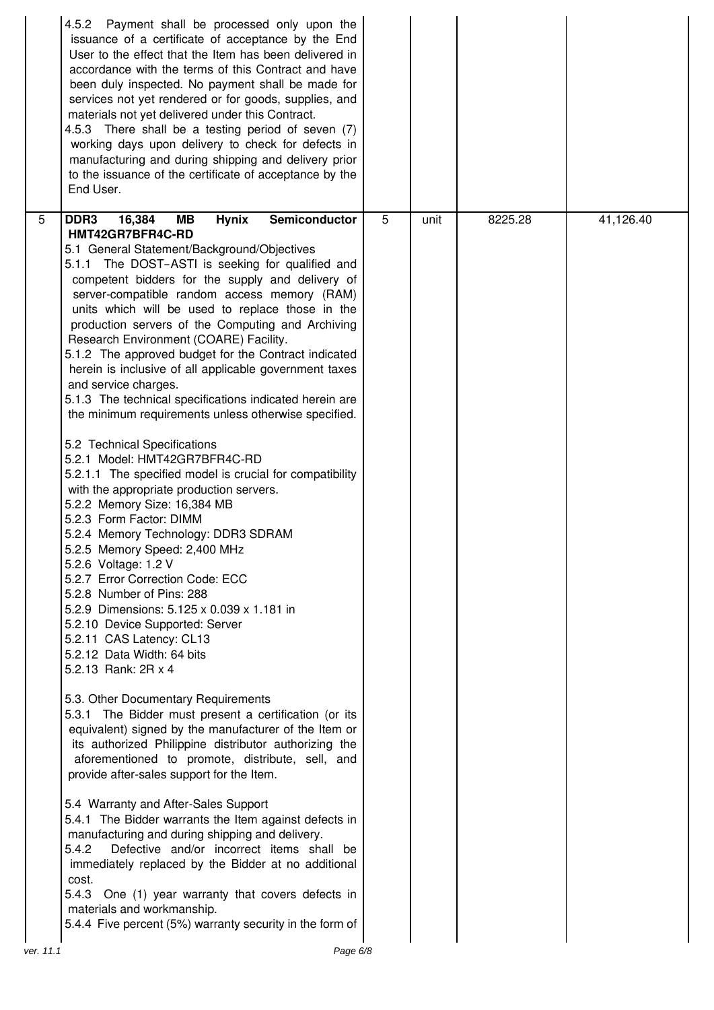|                 | 4.5.2 Payment shall be processed only upon the<br>issuance of a certificate of acceptance by the End<br>User to the effect that the Item has been delivered in<br>accordance with the terms of this Contract and have<br>been duly inspected. No payment shall be made for<br>services not yet rendered or for goods, supplies, and<br>materials not yet delivered under this Contract.<br>4.5.3 There shall be a testing period of seven (7)<br>working days upon delivery to check for defects in<br>manufacturing and during shipping and delivery prior<br>to the issuance of the certificate of acceptance by the<br>End User.                                                                                                                                                                                                                                                                                                                                                                                                                                                                                                                                                                                                                                                                                                                                                                                                                                                                                                                                                                                                                                                                                                                                                                                                                                                                                                                                                                                              |   |      |         |           |
|-----------------|----------------------------------------------------------------------------------------------------------------------------------------------------------------------------------------------------------------------------------------------------------------------------------------------------------------------------------------------------------------------------------------------------------------------------------------------------------------------------------------------------------------------------------------------------------------------------------------------------------------------------------------------------------------------------------------------------------------------------------------------------------------------------------------------------------------------------------------------------------------------------------------------------------------------------------------------------------------------------------------------------------------------------------------------------------------------------------------------------------------------------------------------------------------------------------------------------------------------------------------------------------------------------------------------------------------------------------------------------------------------------------------------------------------------------------------------------------------------------------------------------------------------------------------------------------------------------------------------------------------------------------------------------------------------------------------------------------------------------------------------------------------------------------------------------------------------------------------------------------------------------------------------------------------------------------------------------------------------------------------------------------------------------------|---|------|---------|-----------|
| $5\phantom{.0}$ | 16,384<br><b>Hynix</b><br>Semiconductor<br>DDR <sub>3</sub><br>MВ<br>HMT42GR7BFR4C-RD<br>5.1 General Statement/Background/Objectives<br>5.1.1 The DOST-ASTI is seeking for qualified and<br>competent bidders for the supply and delivery of<br>server-compatible random access memory (RAM)<br>units which will be used to replace those in the<br>production servers of the Computing and Archiving<br>Research Environment (COARE) Facility.<br>5.1.2 The approved budget for the Contract indicated<br>herein is inclusive of all applicable government taxes<br>and service charges.<br>5.1.3 The technical specifications indicated herein are<br>the minimum requirements unless otherwise specified.<br>5.2 Technical Specifications<br>5.2.1 Model: HMT42GR7BFR4C-RD<br>5.2.1.1 The specified model is crucial for compatibility<br>with the appropriate production servers.<br>5.2.2 Memory Size: 16,384 MB<br>5.2.3 Form Factor: DIMM<br>5.2.4 Memory Technology: DDR3 SDRAM<br>5.2.5 Memory Speed: 2,400 MHz<br>5.2.6 Voltage: 1.2 V<br>5.2.7 Error Correction Code: ECC<br>5.2.8 Number of Pins: 288<br>5.2.9 Dimensions: 5.125 x 0.039 x 1.181 in<br>5.2.10 Device Supported: Server<br>5.2.11 CAS Latency: CL13<br>5.2.12 Data Width: 64 bits<br>5.2.13 Rank: 2R x 4<br>5.3. Other Documentary Requirements<br>5.3.1 The Bidder must present a certification (or its<br>equivalent) signed by the manufacturer of the Item or<br>its authorized Philippine distributor authorizing the<br>aforementioned to promote, distribute, sell, and<br>provide after-sales support for the Item.<br>5.4 Warranty and After-Sales Support<br>5.4.1 The Bidder warrants the Item against defects in<br>manufacturing and during shipping and delivery.<br>5.4.2<br>Defective and/or incorrect items shall be<br>immediately replaced by the Bidder at no additional<br>cost.<br>5.4.3 One (1) year warranty that covers defects in<br>materials and workmanship.<br>5.4.4 Five percent (5%) warranty security in the form of | 5 | unit | 8225.28 | 41,126.40 |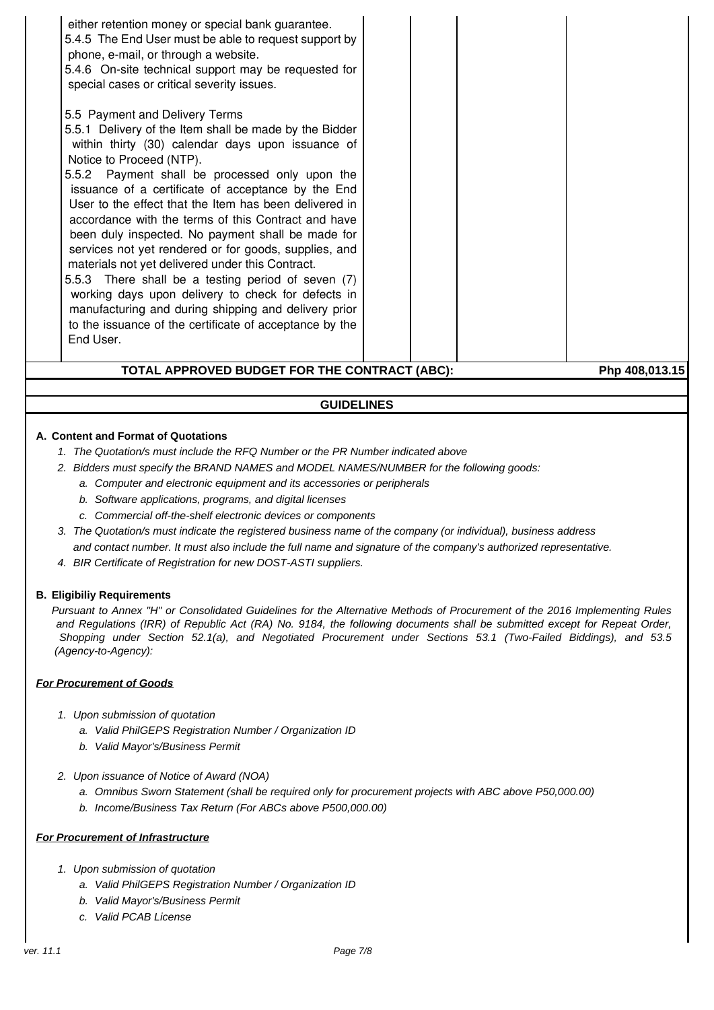| TOTAL APPROVED BUDGET FOR THE CONTRACT (ABC):<br>Php 408,013.15                                                                                                                                                                                                                                                                                                                                                                                                                                                                                                                                                                                                                                                                                                                                                                                                                                                                                                                                                         |  |  |  |  |  |
|-------------------------------------------------------------------------------------------------------------------------------------------------------------------------------------------------------------------------------------------------------------------------------------------------------------------------------------------------------------------------------------------------------------------------------------------------------------------------------------------------------------------------------------------------------------------------------------------------------------------------------------------------------------------------------------------------------------------------------------------------------------------------------------------------------------------------------------------------------------------------------------------------------------------------------------------------------------------------------------------------------------------------|--|--|--|--|--|
| 5.4.5 The End User must be able to request support by<br>phone, e-mail, or through a website.<br>5.4.6 On-site technical support may be requested for<br>special cases or critical severity issues.<br>5.5 Payment and Delivery Terms<br>5.5.1 Delivery of the Item shall be made by the Bidder<br>within thirty (30) calendar days upon issuance of<br>Notice to Proceed (NTP).<br>5.5.2 Payment shall be processed only upon the<br>issuance of a certificate of acceptance by the End<br>User to the effect that the Item has been delivered in<br>accordance with the terms of this Contract and have<br>been duly inspected. No payment shall be made for<br>services not yet rendered or for goods, supplies, and<br>materials not yet delivered under this Contract.<br>5.5.3 There shall be a testing period of seven (7)<br>working days upon delivery to check for defects in<br>manufacturing and during shipping and delivery prior<br>to the issuance of the certificate of acceptance by the<br>End User. |  |  |  |  |  |
| either retention money or special bank guarantee.                                                                                                                                                                                                                                                                                                                                                                                                                                                                                                                                                                                                                                                                                                                                                                                                                                                                                                                                                                       |  |  |  |  |  |

# **GUIDELINES**

### **A. Content and Format of Quotations**

- 1. The Quotation/s must include the RFQ Number or the PR Number indicated above
- 2. Bidders must specify the BRAND NAMES and MODEL NAMES/NUMBER for the following goods:
	- a. Computer and electronic equipment and its accessories or peripherals
	- b. Software applications, programs, and digital licenses
	- c. Commercial off-the-shelf electronic devices or components
- 3. The Quotation/s must indicate the registered business name of the company (or individual), business address and contact number. It must also include the full name and signature of the company's authorized representative.
- 4. BIR Certificate of Registration for new DOST-ASTI suppliers.

#### **B. Eligibiliy Requirements**

Pursuant to Annex "H" or Consolidated Guidelines for the Alternative Methods of Procurement of the 2016 Implementing Rules and Regulations (IRR) of Republic Act (RA) No. 9184, the following documents shall be submitted except for Repeat Order, Shopping under Section 52.1(a), and Negotiated Procurement under Sections 53.1 (Two-Failed Biddings), and 53.5 (Agency-to-Agency):

#### **For Procurement of Goods**

- 1. Upon submission of quotation
	- a. Valid PhilGEPS Registration Number / Organization ID
	- b. Valid Mayor's/Business Permit
- 2. Upon issuance of Notice of Award (NOA)
	- a. Omnibus Sworn Statement (shall be required only for procurement projects with ABC above P50,000.00)
	- b. Income/Business Tax Return (For ABCs above P500,000.00)

#### **For Procurement of Infrastructure**

- 1. Upon submission of quotation
	- a. Valid PhilGEPS Registration Number / Organization ID
	- b. Valid Mayor's/Business Permit
	- c. Valid PCAB License